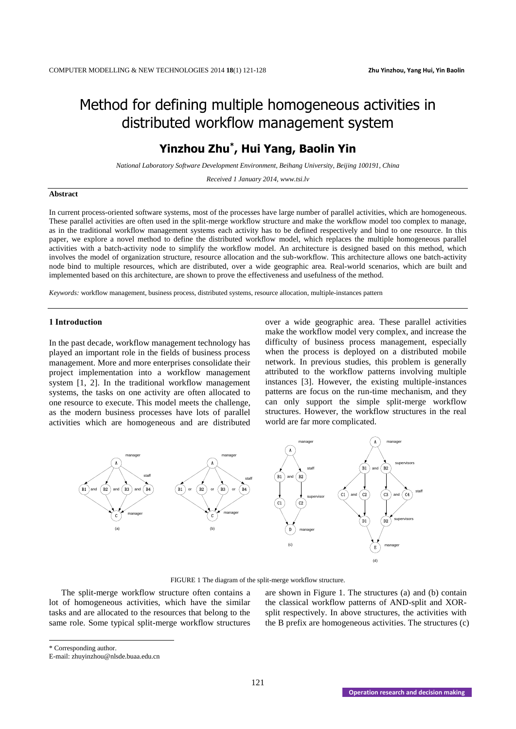# Method for defining multiple homogeneous activities in distributed workflow management system

# **Yinzhou Zhu\* , Hui Yang, Baolin Yin**

*National Laboratory Software Development Environment, Beihang University, Beijing 100191, China*

*Received 1 January 2014, www.tsi.lv*

# **Abstract**

In current process-oriented software systems, most of the processes have large number of parallel activities, which are homogeneous. These parallel activities are often used in the split-merge workflow structure and make the workflow model too complex to manage, as in the traditional workflow management systems each activity has to be defined respectively and bind to one resource. In this paper, we explore a novel method to define the distributed workflow model, which replaces the multiple homogeneous parallel activities with a batch-activity node to simplify the workflow model. An architecture is designed based on this method, which involves the model of organization structure, resource allocation and the sub-workflow. This architecture allows one batch-activity node bind to multiple resources, which are distributed, over a wide geographic area. Real-world scenarios, which are built and implemented based on this architecture, are shown to prove the effectiveness and usefulness of the method.

*Keywords:* workflow management, business process, distributed systems, resource allocation, multiple-instances pattern

# **1 Introduction**

In the past decade, workflow management technology has played an important role in the fields of business process management. More and more enterprises consolidate their project implementation into a workflow management system [1, 2]. In the traditional workflow management systems, the tasks on one activity are often allocated to one resource to execute. This model meets the challenge, as the modern business processes have lots of parallel activities which are homogeneous and are distributed over a wide geographic area. These parallel activities make the workflow model very complex, and increase the difficulty of business process management, especially when the process is deployed on a distributed mobile network. In previous studies, this problem is generally attributed to the workflow patterns involving multiple instances [3]. However, the existing multiple-instances patterns are focus on the run-time mechanism, and they can only support the simple split-merge workflow structures. However, the workflow structures in the real world are far more complicated.



FIGURE 1 The diagram of the split-merge workflow structure.

The split-merge workflow structure often contains a lot of homogeneous activities, which have the similar tasks and are allocated to the resources that belong to the same role. Some typical split-merge workflow structures are shown in Figure 1. The structures (a) and (b) contain the classical workflow patterns of AND-split and XORsplit respectively. In above structures, the activities with the B prefix are homogeneous activities. The structures (c)

\* Corresponding author.

 $\overline{a}$ 

E-mail: zhuyinzhou@nlsde.buaa.edu.cn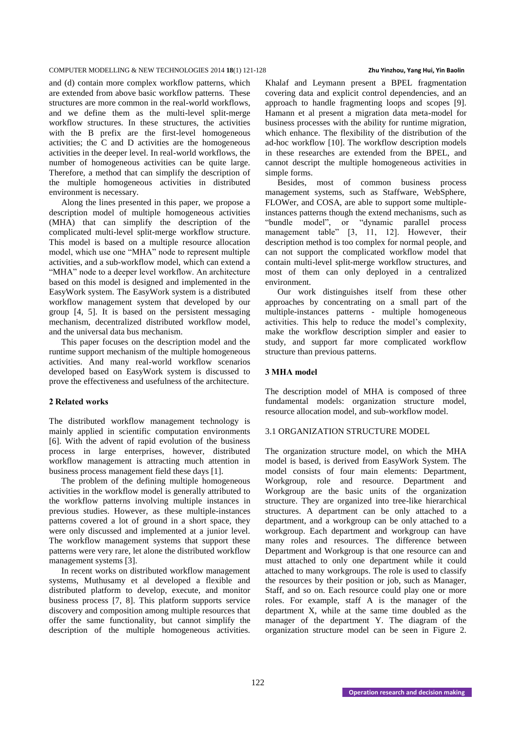and (d) contain more complex workflow patterns, which are extended from above basic workflow patterns. These structures are more common in the real-world workflows, and we define them as the multi-level split-merge workflow structures. In these structures, the activities with the B prefix are the first-level homogeneous activities; the C and D activities are the homogeneous activities in the deeper level. In real-world workflows, the number of homogeneous activities can be quite large. Therefore, a method that can simplify the description of the multiple homogeneous activities in distributed environment is necessary.

Along the lines presented in this paper, we propose a description model of multiple homogeneous activities (MHA) that can simplify the description of the complicated multi-level split-merge workflow structure. This model is based on a multiple resource allocation model, which use one "MHA" node to represent multiple activities, and a sub-workflow model, which can extend a "MHA" node to a deeper level workflow. An architecture based on this model is designed and implemented in the EasyWork system. The EasyWork system is a distributed workflow management system that developed by our group [4, 5]. It is based on the persistent messaging mechanism, decentralized distributed workflow model, and the universal data bus mechanism.

This paper focuses on the description model and the runtime support mechanism of the multiple homogeneous activities. And many real-world workflow scenarios developed based on EasyWork system is discussed to prove the effectiveness and usefulness of the architecture.

# **2 Related works**

The distributed workflow management technology is mainly applied in scientific computation environments [6]. With the advent of rapid evolution of the business process in large enterprises, however, distributed workflow management is attracting much attention in business process management field these days [1].

The problem of the defining multiple homogeneous activities in the workflow model is generally attributed to the workflow patterns involving multiple instances in previous studies. However, as these multiple-instances patterns covered a lot of ground in a short space, they were only discussed and implemented at a junior level. The workflow management systems that support these patterns were very rare, let alone the distributed workflow management systems [3].

In recent works on distributed workflow management systems, Muthusamy et al developed a flexible and distributed platform to develop, execute, and monitor business process [7, 8]. This platform supports service discovery and composition among multiple resources that offer the same functionality, but cannot simplify the description of the multiple homogeneous activities.

Khalaf and Leymann present a BPEL fragmentation covering data and explicit control dependencies, and an approach to handle fragmenting loops and scopes [9]. Hamann et al present a migration data meta-model for business processes with the ability for runtime migration, which enhance. The flexibility of the distribution of the ad-hoc workflow [10]. The workflow description models in these researches are extended from the BPEL, and cannot descript the multiple homogeneous activities in simple forms.

Besides, most of common business process management systems, such as Staffware, WebSphere, FLOWer, and COSA, are able to support some multipleinstances patterns though the extend mechanisms, such as "bundle model", or "dynamic parallel process management table" [3, 11, 12]. However, their description method is too complex for normal people, and can not support the complicated workflow model that contain multi-level split-merge workflow structures, and most of them can only deployed in a centralized environment.

Our work distinguishes itself from these other approaches by concentrating on a small part of the multiple-instances patterns - multiple homogeneous activities. This help to reduce the model's complexity, make the workflow description simpler and easier to study, and support far more complicated workflow structure than previous patterns.

# **3 MHA model**

The description model of MHA is composed of three fundamental models: organization structure model, resource allocation model, and sub-workflow model.

# 3.1 ORGANIZATION STRUCTURE MODEL

The organization structure model, on which the MHA model is based, is derived from EasyWork System. The model consists of four main elements: Department, Workgroup, role and resource. Department and Workgroup are the basic units of the organization structure. They are organized into tree-like hierarchical structures. A department can be only attached to a department, and a workgroup can be only attached to a workgroup. Each department and workgroup can have many roles and resources. The difference between Department and Workgroup is that one resource can and must attached to only one department while it could attached to many workgroups. The role is used to classify the resources by their position or job, such as Manager, Staff, and so on. Each resource could play one or more roles. For example, staff A is the manager of the department X, while at the same time doubled as the manager of the department Y. The diagram of the organization structure model can be seen in Figure 2.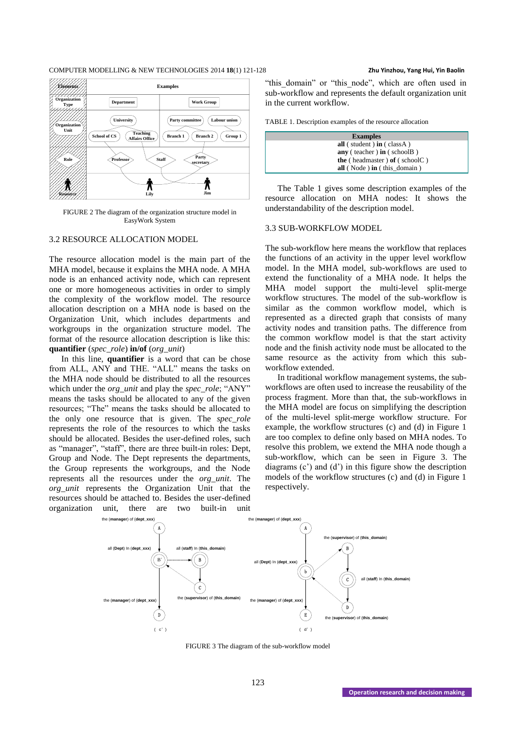

FIGURE 2 The diagram of the organization structure model in EasyWork System

# 3.2 RESOURCE ALLOCATION MODEL

The resource allocation model is the main part of the MHA model, because it explains the MHA node. A MHA node is an enhanced activity node, which can represent one or more homogeneous activities in order to simply the complexity of the workflow model. The resource allocation description on a MHA node is based on the Organization Unit, which includes departments and workgroups in the organization structure model. The format of the resource allocation description is like this: **quantifier** (*spec\_role*) **in/of** (*org\_unit*)

In this line, **quantifier** is a word that can be chose from ALL, ANY and THE. "ALL" means the tasks on the MHA node should be distributed to all the resources which under the *org\_unit* and play the *spec\_role*; "ANY" means the tasks should be allocated to any of the given resources; "The" means the tasks should be allocated to the only one resource that is given. The *spec\_role* represents the role of the resources to which the tasks should be allocated. Besides the user-defined roles, such as "manager", "staff", there are three built-in roles: Dept, Group and Node. The Dept represents the departments, the Group represents the workgroups, and the Node represents all the resources under the *org\_unit*. The *org\_unit* represents the Organization Unit that the resources should be attached to. Besides the user-defined organization unit, there are two built-in unit

"this domain" or "this node", which are often used in sub-workflow and represents the default organization unit in the current workflow.

TABLE 1. Description examples of the resource allocation

| <b>Examples</b>                          |  |  |  |  |  |
|------------------------------------------|--|--|--|--|--|
| all (student) in (class A)               |  |  |  |  |  |
| $anv$ (teacher) $in$ (schoolB)           |  |  |  |  |  |
| <b>the</b> (headmaster) of (school $C$ ) |  |  |  |  |  |
| all (Node) in (this domain)              |  |  |  |  |  |

The Table 1 gives some description examples of the resource allocation on MHA nodes: It shows the understandability of the description model.

# 3.3 SUB-WORKFLOW MODEL

The sub-workflow here means the workflow that replaces the functions of an activity in the upper level workflow model. In the MHA model, sub-workflows are used to extend the functionality of a MHA node. It helps the MHA model support the multi-level split-merge workflow structures. The model of the sub-workflow is similar as the common workflow model, which is represented as a directed graph that consists of many activity nodes and transition paths. The difference from the common workflow model is that the start activity node and the finish activity node must be allocated to the same resource as the activity from which this subworkflow extended.

In traditional workflow management systems, the subworkflows are often used to increase the reusability of the process fragment. More than that, the sub-workflows in the MHA model are focus on simplifying the description of the multi-level split-merge workflow structure. For example, the workflow structures (c) and (d) in Figure 1 are too complex to define only based on MHA nodes. To resolve this problem, we extend the MHA node though a sub-workflow, which can be seen in Figure 3. The diagrams (c') and (d') in this figure show the description models of the workflow structures (c) and (d) in Figure 1 respectively.



FIGURE 3 The diagram of the sub-workflow model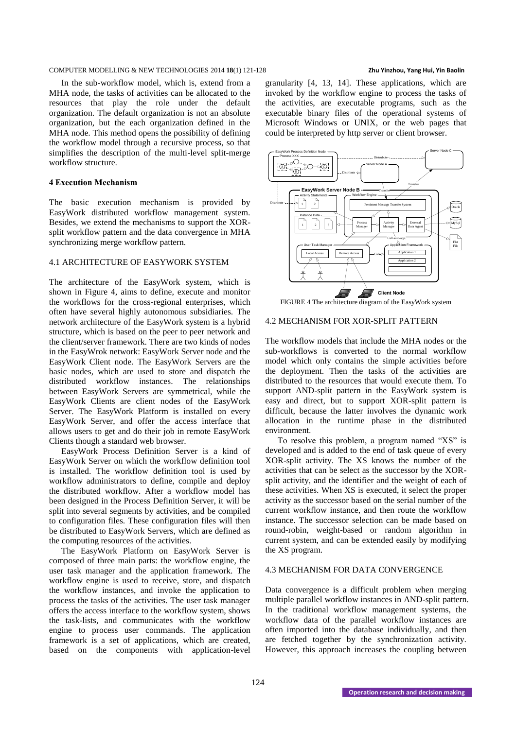In the sub-workflow model, which is, extend from a MHA node, the tasks of activities can be allocated to the resources that play the role under the default organization. The default organization is not an absolute organization, but the each organization defined in the MHA node. This method opens the possibility of defining the workflow model through a recursive process, so that simplifies the description of the multi-level split-merge workflow structure.

# **4 Execution Mechanism**

The basic execution mechanism is provided by EasyWork distributed workflow management system. Besides, we extend the mechanisms to support the XORsplit workflow pattern and the data convergence in MHA synchronizing merge workflow pattern.

# 4.1 ARCHITECTURE OF EASYWORK SYSTEM

The architecture of the EasyWork system, which is shown in Figure 4, aims to define, execute and monitor the workflows for the cross-regional enterprises, which often have several highly autonomous subsidiaries. The network architecture of the EasyWork system is a hybrid structure, which is based on the peer to peer network and the client/server framework. There are two kinds of nodes in the EasyWrok network: EasyWork Server node and the EasyWork Client node. The EasyWork Servers are the basic nodes, which are used to store and dispatch the distributed workflow instances. The relationships between EasyWork Servers are symmetrical, while the EasyWork Clients are client nodes of the EasyWork Server. The EasyWork Platform is installed on every EasyWork Server, and offer the access interface that allows users to get and do their job in remote EasyWork Clients though a standard web browser.

EasyWork Process Definition Server is a kind of EasyWork Server on which the workflow definition tool is installed. The workflow definition tool is used by workflow administrators to define, compile and deploy the distributed workflow. After a workflow model has been designed in the Process Definition Server, it will be split into several segments by activities, and be compiled to configuration files. These configuration files will then be distributed to EasyWork Servers, which are defined as the computing resources of the activities.

The EasyWork Platform on EasyWork Server is composed of three main parts: the workflow engine, the user task manager and the application framework. The workflow engine is used to receive, store, and dispatch the workflow instances, and invoke the application to process the tasks of the activities. The user task manager offers the access interface to the workflow system, shows the task-lists, and communicates with the workflow engine to process user commands. The application framework is a set of applications, which are created, based on the components with application-level

granularity [4, 13, 14]. These applications, which are invoked by the workflow engine to process the tasks of the activities, are executable programs, such as the executable binary files of the operational systems of Microsoft Windows or UNIX, or the web pages that could be interpreted by http server or client browser.



FIGURE 4 The architecture diagram of the EasyWork system

# 4.2 MECHANISM FOR XOR-SPLIT PATTERN

The workflow models that include the MHA nodes or the sub-workflows is converted to the normal workflow model which only contains the simple activities before the deployment. Then the tasks of the activities are distributed to the resources that would execute them. To support AND-split pattern in the EasyWork system is easy and direct, but to support XOR-split pattern is difficult, because the latter involves the dynamic work allocation in the runtime phase in the distributed environment.

To resolve this problem, a program named "XS" is developed and is added to the end of task queue of every XOR-split activity. The XS knows the number of the activities that can be select as the successor by the XORsplit activity, and the identifier and the weight of each of these activities. When XS is executed, it select the proper activity as the successor based on the serial number of the current workflow instance, and then route the workflow instance. The successor selection can be made based on round-robin, weight-based or random algorithm in current system, and can be extended easily by modifying the XS program.

# 4.3 MECHANISM FOR DATA CONVERGENCE

Data convergence is a difficult problem when merging multiple parallel workflow instances in AND-split pattern. In the traditional workflow management systems, the workflow data of the parallel workflow instances are often imported into the database individually, and then are fetched together by the synchronization activity. However, this approach increases the coupling between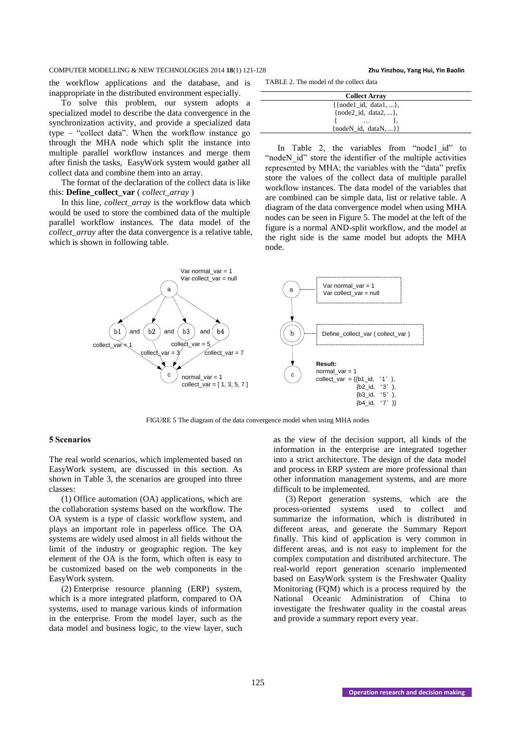the workflow applications and the database, and is inappropriate in the distributed environment especially.

To solve this problem, our system adopts a specialized model to describe the data convergence in the synchronization activity, and provide a specialized data type – "collect data". When the workflow instance go through the MHA node which split the instance into multiple parallel workflow instances and merge them after finish the tasks, EasyWork system would gather all collect data and combine them into an array.

The format of the declaration of the collect data is like this: **Define\_collect\_var** ( *collect\_array* )

In this line, *collect\_array* is the workflow data which would be used to store the combined data of the multiple parallel workflow instances. The data model of the *collect\_array* after the data convergence is a relative table, which is shown in following table.

TABLE 2. The model of the collect data

| <b>Collect Array</b>             |  |  |  |  |  |
|----------------------------------|--|--|--|--|--|
| $\{ \{node1\_id, data1, \}, \}$  |  |  |  |  |  |
| $\{node2_id, data2, \},\$        |  |  |  |  |  |
| $\cdots$                         |  |  |  |  |  |
| { $nodeN$ id, $dataN, \ldots$ }} |  |  |  |  |  |

In Table 2, the variables from "nodel id" to "nodeN id" store the identifier of the multiple activities represented by MHA; the variables with the "data" prefix store the values of the collect data of multiple parallel workflow instances. The data model of the variables that are combined can be simple data, list or relative table. A diagram of the data convergence model when using MHA nodes can be seen in Figure 5. The model at the left of the figure is a normal AND-split workflow, and the model at the right side is the same model but adopts the MHA node.



FIGURE 5 The diagram of the data convergence model when using MHA nodes

# **5 Scenarios**

The real world scenarios, which implemented based on EasyWork system, are discussed in this section. As shown in Table 3, the scenarios are grouped into three classes:

(1) Office automation (OA) applications, which are the collaboration systems based on the workflow. The OA system is a type of classic workflow system, and plays an important role in paperless office. The OA systems are widely used almost in all fields without the limit of the industry or geographic region. The key element of the OA is the form, which often is easy to be customized based on the web components in the EasyWork system.

(2) Enterprise resource planning (ERP) system, which is a more integrated platform, compared to OA systems, used to manage various kinds of information in the enterprise. From the model layer, such as the data model and business logic, to the view layer, such

as the view of the decision support, all kinds of the information in the enterprise are integrated together into a strict architecture. The design of the data model and process in ERP system are more professional than other information management systems, and are more difficult to be implemented.

(3) Report generation systems, which are the process-oriented systems used to collect and summarize the information, which is distributed in different areas, and generate the Summary Report finally. This kind of application is very common in different areas, and is not easy to implement for the complex computation and distributed architecture. The real-world report generation scenario implemented based on EasyWork system is the Freshwater Quality Monitoring (FQM) which is a process required by the National Oceanic Administration of China to investigate the freshwater quality in the coastal areas and provide a summary report every year.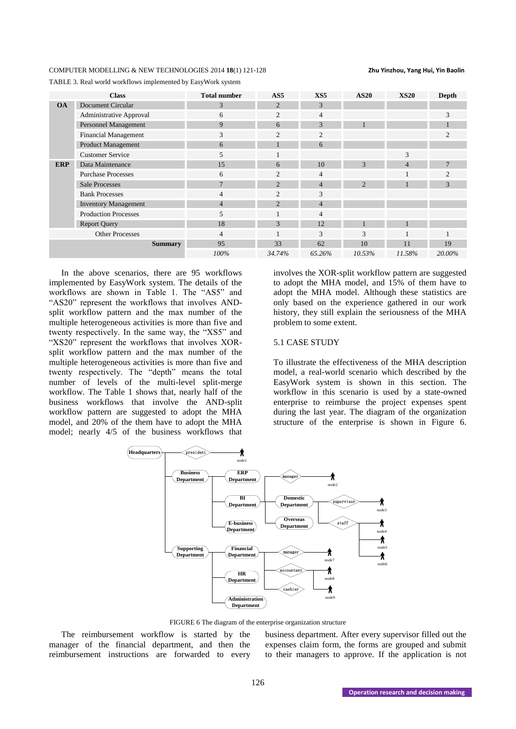| TABLE 3. Real world workflows implemented by EasyWork system |  |
|--------------------------------------------------------------|--|
|--------------------------------------------------------------|--|

|                | <b>Class</b>                | <b>Total number</b> | AS <sub>5</sub> | XS <sub>5</sub> | <b>AS20</b>    | <b>XS20</b>    | Depth          |
|----------------|-----------------------------|---------------------|-----------------|-----------------|----------------|----------------|----------------|
| <b>OA</b>      | Document Circular           | 3                   | 2               | 3               |                |                |                |
|                | Administrative Approval     | 6                   | 2               | $\overline{4}$  |                |                | 3              |
|                | Personnel Management        | 9                   | 6               | 3               |                |                |                |
|                | <b>Financial Management</b> | 3                   | 2               | $\overline{2}$  |                |                | $\mathfrak{D}$ |
|                | <b>Product Management</b>   | 6                   |                 | 6               |                |                |                |
|                | <b>Customer Service</b>     | 5                   |                 |                 |                | 3              |                |
| <b>ERP</b>     | Data Maintenance            | 15                  | 6               | 10              | 3              | $\overline{4}$ | 7              |
|                | <b>Purchase Processes</b>   | 6                   | 2               | $\overline{4}$  |                |                | $\mathfrak{D}$ |
|                | <b>Sale Processes</b>       | $7\phantom{.0}$     | 2               | $\overline{4}$  | $\overline{2}$ |                | 3              |
|                | <b>Bank Processes</b>       | $\overline{4}$      | 2               | 3               |                |                |                |
|                | <b>Inventory Management</b> | $\overline{4}$      | $\overline{2}$  | $\overline{4}$  |                |                |                |
|                | <b>Production Processes</b> | 5                   |                 | $\overline{4}$  |                |                |                |
|                | <b>Report Query</b>         | 18                  | 3               | 12              |                |                |                |
|                | <b>Other Processes</b>      | $\overline{4}$      |                 | 3               | 3              |                |                |
| <b>Summary</b> |                             | 95                  | 33              | 62              | 10             | 11             | 19             |
|                |                             | 100%                | 34.74%          | 65.26%          | 10.53%         | 11.58%         | 20.00%         |

In the above scenarios, there are 95 workflows implemented by EasyWork system. The details of the workflows are shown in Table 1. The "AS5" and "AS20" represent the workflows that involves ANDsplit workflow pattern and the max number of the multiple heterogeneous activities is more than five and twenty respectively. In the same way, the "XS5" and "XS20" represent the workflows that involves XORsplit workflow pattern and the max number of the multiple heterogeneous activities is more than five and twenty respectively. The "depth" means the total number of levels of the multi-level split-merge workflow. The Table 1 shows that, nearly half of the business workflows that involve the AND-split workflow pattern are suggested to adopt the MHA model, and 20% of the them have to adopt the MHA model; nearly 4/5 of the business workflows that

involves the XOR-split workflow pattern are suggested to adopt the MHA model, and 15% of them have to adopt the MHA model. Although these statistics are only based on the experience gathered in our work history, they still explain the seriousness of the MHA problem to some extent.

# 5.1 CASE STUDY

To illustrate the effectiveness of the MHA description model, a real-world scenario which described by the EasyWork system is shown in this section. The workflow in this scenario is used by a state-owned enterprise to reimburse the project expenses spent during the last year. The diagram of the organization structure of the enterprise is shown in Figure 6.



FIGURE 6 The diagram of the enterprise organization structure

The reimbursement workflow is started by the manager of the financial department, and then the reimbursement instructions are forwarded to every business department. After every supervisor filled out the expenses claim form, the forms are grouped and submit to their managers to approve. If the application is not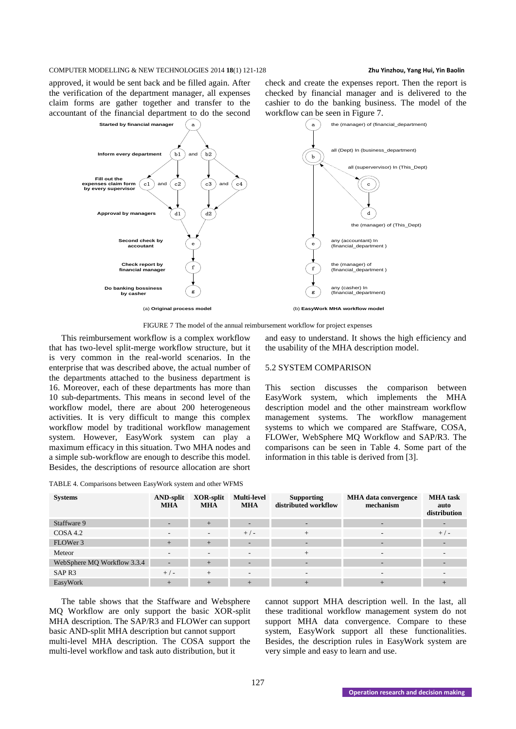approved, it would be sent back and be filled again. After the verification of the department manager, all expenses claim forms are gather together and transfer to the accountant of the financial department to do the second



FIGURE 7 The model of the annual reimbursement workflow for project expenses

This reimbursement workflow is a complex workflow that has two-level split-merge workflow structure, but it is very common in the real-world scenarios. In the enterprise that was described above, the actual number of the departments attached to the business department is 16. Moreover, each of these departments has more than 10 sub-departments. This means in second level of the workflow model, there are about 200 heterogeneous activities. It is very difficult to mange this complex workflow model by traditional workflow management system. However, EasyWork system can play a maximum efficacy in this situation. Two MHA nodes and a simple sub-workflow are enough to describe this model. Besides, the descriptions of resource allocation are short

| TABLE 4. Comparisons between EasyWork system and other WFMS |  |  |  |
|-------------------------------------------------------------|--|--|--|
|                                                             |  |  |  |

and easy to understand. It shows the high efficiency and the usability of the MHA description model.

check and create the expenses report. Then the report is checked by financial manager and is delivered to the cashier to do the banking business. The model of the

# 5.2 SYSTEM COMPARISON

This section discusses the comparison between EasyWork system, which implements the MHA description model and the other mainstream workflow management systems. The workflow management systems to which we compared are Staffware, COSA, FLOWer, WebSphere MQ Workflow and SAP/R3. The comparisons can be seen in Table 4. Some part of the information in this table is derived from [3].

| <b>Systems</b>              | <b>AND-split</b><br><b>MHA</b> | XOR-split<br><b>MHA</b>  | <b>Multi-level</b><br><b>MHA</b> | <b>Supporting</b><br>distributed workflow | <b>MHA</b> data convergence<br>mechanism | <b>MHA</b> task<br>auto<br>distribution |
|-----------------------------|--------------------------------|--------------------------|----------------------------------|-------------------------------------------|------------------------------------------|-----------------------------------------|
| Staffware 9                 | $\overline{\phantom{a}}$       | $+$                      |                                  |                                           |                                          | -                                       |
| COSA 4.2                    | $\overline{\phantom{a}}$       | $\overline{\phantom{a}}$ | $+/-$                            | $^{+}$                                    |                                          | $+/-$                                   |
| FLOWer 3                    | $+$                            | $+$                      | -                                | $\overline{\phantom{0}}$                  | -                                        |                                         |
| Meteor                      | $\overline{\phantom{0}}$       | $\sim$                   | $\overline{\phantom{a}}$         | $^{+}$                                    | $\overline{\phantom{a}}$                 |                                         |
| WebSphere MQ Workflow 3.3.4 | $\overline{\phantom{a}}$       | $+$                      |                                  |                                           |                                          |                                         |
| SAP <sub>R3</sub>           | $+/-$                          | $^{+}$                   |                                  |                                           |                                          |                                         |
| EasyWork                    | $+$                            | $+$                      | $+$                              |                                           |                                          |                                         |

The table shows that the Staffware and Websphere MQ Workflow are only support the basic XOR-split MHA description. The SAP/R3 and FLOWer can support basic AND-split MHA description but cannot support multi-level MHA description. The COSA support the multi-level workflow and task auto distribution, but it

cannot support MHA description well. In the last, all these traditional workflow management system do not support MHA data convergence. Compare to these system, EasyWork support all these functionalities. Besides, the description rules in EasyWork system are very simple and easy to learn and use.